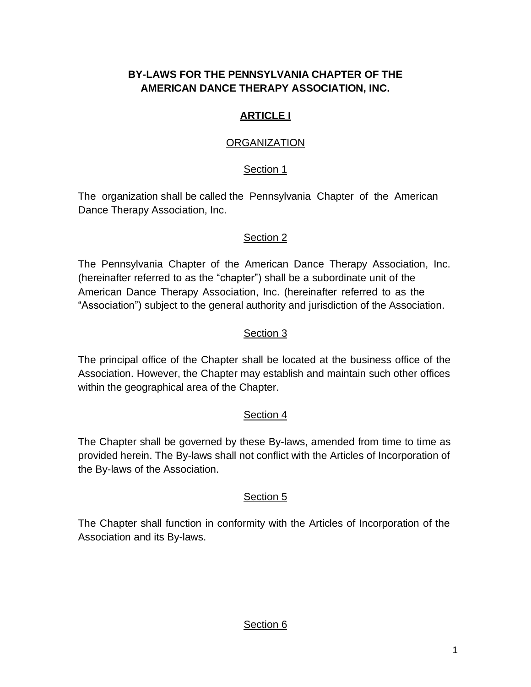# **BY-LAWS FOR THE PENNSYLVANIA CHAPTER OF THE AMERICAN DANCE THERAPY ASSOCIATION, INC.**

## **ARTICLE I**

## **ORGANIZATION**

## Section 1

The organization shall be called the Pennsylvania Chapter of the American Dance Therapy Association, Inc.

## Section 2

The Pennsylvania Chapter of the American Dance Therapy Association, Inc. (hereinafter referred to as the "chapter") shall be a subordinate unit of the American Dance Therapy Association, Inc. (hereinafter referred to as the "Association") subject to the general authority and jurisdiction of the Association.

## Section 3

The principal office of the Chapter shall be located at the business office of the Association. However, the Chapter may establish and maintain such other offices within the geographical area of the Chapter.

## Section 4

The Chapter shall be governed by these By-laws, amended from time to time as provided herein. The By-laws shall not conflict with the Articles of Incorporation of the By-laws of the Association.

## Section 5

The Chapter shall function in conformity with the Articles of Incorporation of the Association and its By-laws.

## Section 6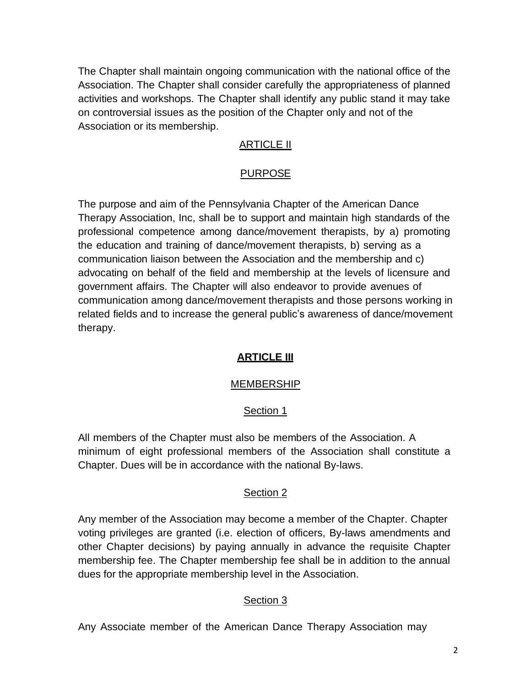The Chapter shall maintain ongoing communication with the national office of the Association. The Chapter shall consider carefully the appropriateness of planned activities and workshops. The Chapter shall identify any public stand it may take on controversial issues as the position of the Chapter only and not of the Association or its membership.

## **ARTICLE II**

### PURPOSE

The purpose and aim of the Pennsylvania Chapter of the American Dance Therapy Association, Inc, shall be to support and maintain high standards of the professional competence among dance/movement therapists, by a) promoting the education and training of dance/movement therapists, b) serving as a communication liaison between the Association and the membership and c) advocating on behalf of the field and membership at the levels of licensure and government affairs. The Chapter will also endeavor to provide avenues of communication among dance/movement therapists and those persons working in related fields and to increase the general public's awareness of dance/movement therapy.

## **ARTICLE III**

#### MEMBERSHIP

#### Section 1

All members of the Chapter must also be members of the Association. A minimum of eight professional members of the Association shall constitute a Chapter. Dues will be in accordance with the national By-laws.

#### Section 2

Any member of the Association may become a member of the Chapter. Chapter voting privileges are granted (i.e. election of officers, By-laws amendments and other Chapter decisions) by paying annually in advance the requisite Chapter membership fee. The Chapter membership fee shall be in addition to the annual dues for the appropriate membership level in the Association.

## Section 3

Any Associate member of the American Dance Therapy Association may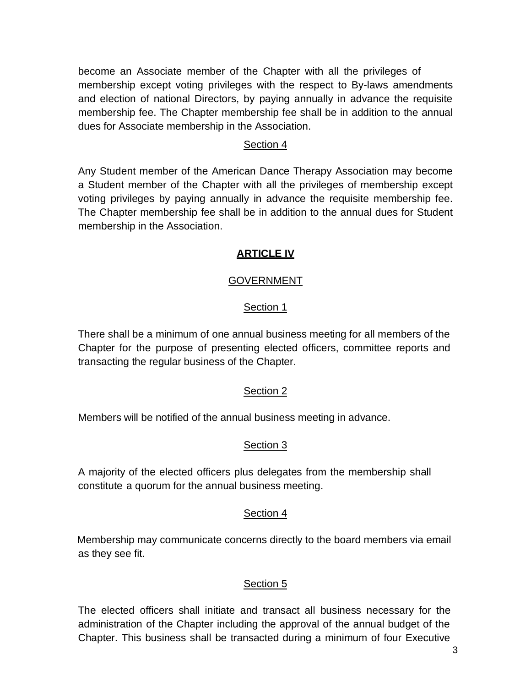become an Associate member of the Chapter with all the privileges of membership except voting privileges with the respect to By-laws amendments and election of national Directors, by paying annually in advance the requisite membership fee. The Chapter membership fee shall be in addition to the annual dues for Associate membership in the Association.

### Section 4

Any Student member of the American Dance Therapy Association may become a Student member of the Chapter with all the privileges of membership except voting privileges by paying annually in advance the requisite membership fee. The Chapter membership fee shall be in addition to the annual dues for Student membership in the Association.

## **ARTICLE IV**

## GOVERNMENT

### Section 1

There shall be a minimum of one annual business meeting for all members of the Chapter for the purpose of presenting elected officers, committee reports and transacting the regular business of the Chapter.

#### Section 2

Members will be notified of the annual business meeting in advance.

## Section 3

A majority of the elected officers plus delegates from the membership shall constitute a quorum for the annual business meeting.

#### Section 4

Membership may communicate concerns directly to the board members via email as they see fit.

#### Section 5

The elected officers shall initiate and transact all business necessary for the administration of the Chapter including the approval of the annual budget of the Chapter. This business shall be transacted during a minimum of four Executive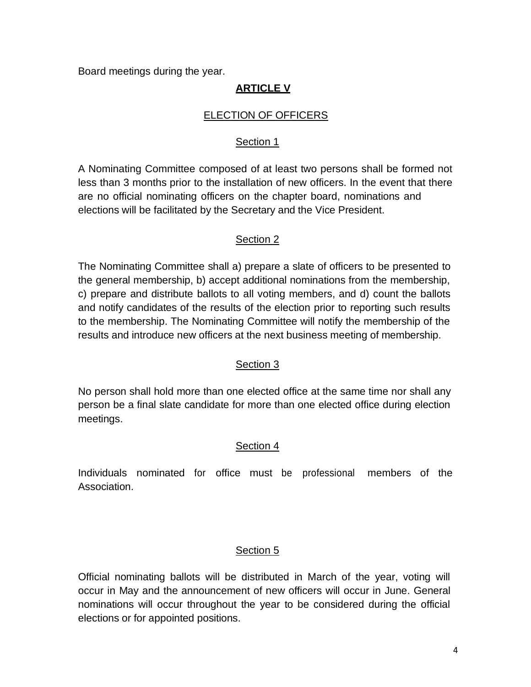Board meetings during the year.

# **ARTICLE V**

### ELECTION OF OFFICERS

### Section 1

A Nominating Committee composed of at least two persons shall be formed not less than 3 months prior to the installation of new officers. In the event that there are no official nominating officers on the chapter board, nominations and elections will be facilitated by the Secretary and the Vice President.

### Section 2

The Nominating Committee shall a) prepare a slate of officers to be presented to the general membership, b) accept additional nominations from the membership, c) prepare and distribute ballots to all voting members, and d) count the ballots and notify candidates of the results of the election prior to reporting such results to the membership. The Nominating Committee will notify the membership of the results and introduce new officers at the next business meeting of membership.

#### Section 3

No person shall hold more than one elected office at the same time nor shall any person be a final slate candidate for more than one elected office during election meetings.

## Section 4

Individuals nominated for office must be professional members of the Association.

## Section 5

Official nominating ballots will be distributed in March of the year, voting will occur in May and the announcement of new officers will occur in June. General nominations will occur throughout the year to be considered during the official elections or for appointed positions.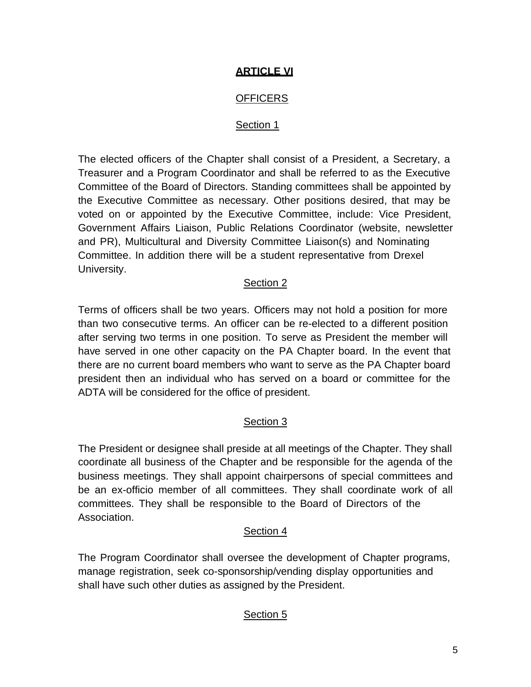# **ARTICLE VI**

# **OFFICERS**

### Section 1

The elected officers of the Chapter shall consist of a President, a Secretary, a Treasurer and a Program Coordinator and shall be referred to as the Executive Committee of the Board of Directors. Standing committees shall be appointed by the Executive Committee as necessary. Other positions desired, that may be voted on or appointed by the Executive Committee, include: Vice President, Government Affairs Liaison, Public Relations Coordinator (website, newsletter and PR), Multicultural and Diversity Committee Liaison(s) and Nominating Committee. In addition there will be a student representative from Drexel University.

### Section 2

Terms of officers shall be two years. Officers may not hold a position for more than two consecutive terms. An officer can be re-elected to a different position after serving two terms in one position. To serve as President the member will have served in one other capacity on the PA Chapter board. In the event that there are no current board members who want to serve as the PA Chapter board president then an individual who has served on a board or committee for the ADTA will be considered for the office of president.

## Section 3

The President or designee shall preside at all meetings of the Chapter. They shall coordinate all business of the Chapter and be responsible for the agenda of the business meetings. They shall appoint chairpersons of special committees and be an ex-officio member of all committees. They shall coordinate work of all committees. They shall be responsible to the Board of Directors of the Association.

#### Section 4

The Program Coordinator shall oversee the development of Chapter programs, manage registration, seek co-sponsorship/vending display opportunities and shall have such other duties as assigned by the President.

# Section 5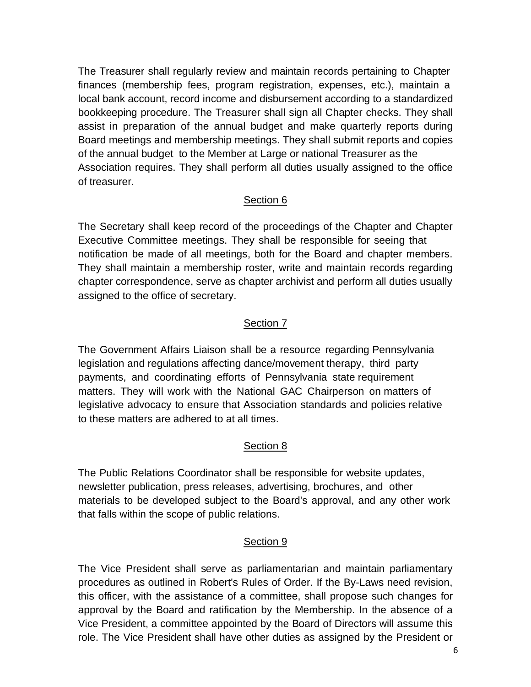The Treasurer shall regularly review and maintain records pertaining to Chapter finances (membership fees, program registration, expenses, etc.), maintain a local bank account, record income and disbursement according to a standardized bookkeeping procedure. The Treasurer shall sign all Chapter checks. They shall assist in preparation of the annual budget and make quarterly reports during Board meetings and membership meetings. They shall submit reports and copies of the annual budget to the Member at Large or national Treasurer as the Association requires. They shall perform all duties usually assigned to the office of treasurer.

### Section 6

The Secretary shall keep record of the proceedings of the Chapter and Chapter Executive Committee meetings. They shall be responsible for seeing that notification be made of all meetings, both for the Board and chapter members. They shall maintain a membership roster, write and maintain records regarding chapter correspondence, serve as chapter archivist and perform all duties usually assigned to the office of secretary.

## Section 7

The Government Affairs Liaison shall be a resource regarding Pennsylvania legislation and regulations affecting dance/movement therapy, third party payments, and coordinating efforts of Pennsylvania state requirement matters. They will work with the National GAC Chairperson on matters of legislative advocacy to ensure that Association standards and policies relative to these matters are adhered to at all times.

## Section 8

The Public Relations Coordinator shall be responsible for website updates, newsletter publication, press releases, advertising, brochures, and other materials to be developed subject to the Board's approval, and any other work that falls within the scope of public relations.

## Section 9

The Vice President shall serve as parliamentarian and maintain parliamentary procedures as outlined in Robert's Rules of Order. If the By-Laws need revision, this officer, with the assistance of a committee, shall propose such changes for approval by the Board and ratification by the Membership. In the absence of a Vice President, a committee appointed by the Board of Directors will assume this role. The Vice President shall have other duties as assigned by the President or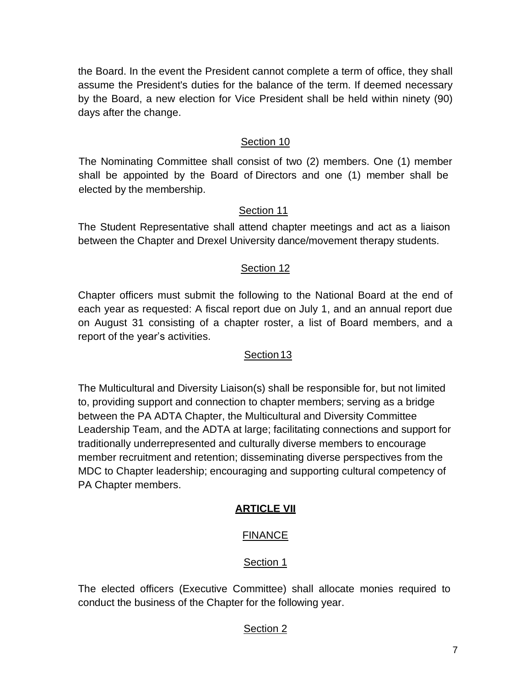the Board. In the event the President cannot complete a term of office, they shall assume the President's duties for the balance of the term. If deemed necessary by the Board, a new election for Vice President shall be held within ninety (90) days after the change.

## Section 10

The Nominating Committee shall consist of two (2) members. One (1) member shall be appointed by the Board of Directors and one (1) member shall be elected by the membership.

## Section 11

The Student Representative shall attend chapter meetings and act as a liaison between the Chapter and Drexel University dance/movement therapy students.

## Section 12

Chapter officers must submit the following to the National Board at the end of each year as requested: A fiscal report due on July 1, and an annual report due on August 31 consisting of a chapter roster, a list of Board members, and a report of the year's activities.

## Section 13

The Multicultural and Diversity Liaison(s) shall be responsible for, but not limited to, providing support and connection to chapter members; serving as a bridge between the PA ADTA Chapter, the Multicultural and Diversity Committee Leadership Team, and the ADTA at large; facilitating connections and support for traditionally underrepresented and culturally diverse members to encourage member recruitment and retention; disseminating diverse perspectives from the MDC to Chapter leadership; encouraging and supporting cultural competency of PA Chapter members.

# **ARTICLE VII**

# FINANCE

## Section 1

The elected officers (Executive Committee) shall allocate monies required to conduct the business of the Chapter for the following year.

# Section 2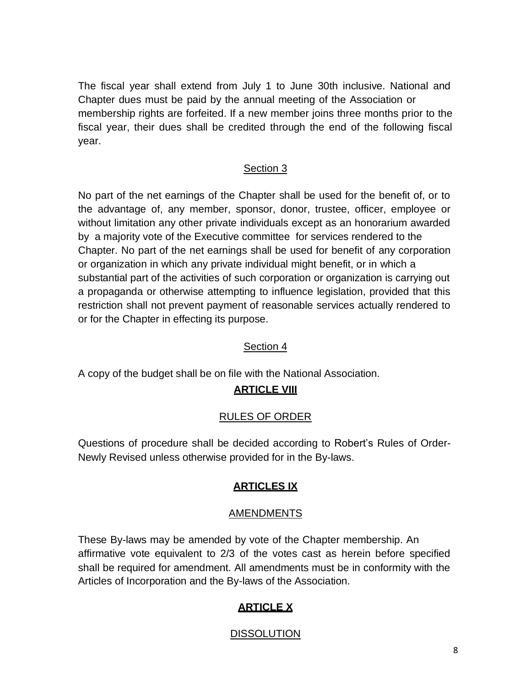The fiscal year shall extend from July 1 to June 30th inclusive. National and Chapter dues must be paid by the annual meeting of the Association or membership rights are forfeited. If a new member joins three months prior to the fiscal year, their dues shall be credited through the end of the following fiscal year.

## Section 3

No part of the net earnings of the Chapter shall be used for the benefit of, or to the advantage of, any member, sponsor, donor, trustee, officer, employee or without limitation any other private individuals except as an honorarium awarded by a majority vote of the Executive committee for services rendered to the Chapter. No part of the net earnings shall be used for benefit of any corporation or organization in which any private individual might benefit, or in which a substantial part of the activities of such corporation or organization is carrying out a propaganda or otherwise attempting to influence legislation, provided that this restriction shall not prevent payment of reasonable services actually rendered to or for the Chapter in effecting its purpose.

## Section 4

A copy of the budget shall be on file with the National Association.

# **ARTICLE VIII**

## RULES OF ORDER

Questions of procedure shall be decided according to Robert's Rules of Order-Newly Revised unless otherwise provided for in the By-laws.

## **ARTICLES IX**

#### AMENDMENTS

These By-laws may be amended by vote of the Chapter membership. An affirmative vote equivalent to 2/3 of the votes cast as herein before specified shall be required for amendment. All amendments must be in conformity with the Articles of Incorporation and the By-laws of the Association.

## **ARTICLE X**

# **DISSOLUTION**